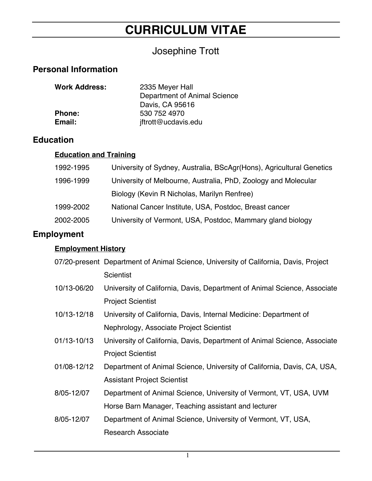# **CURRICULUM VITAE**

# Josephine Trott

# **Personal Information**

| <b>Work Address:</b> | 2335 Meyer Hall              |
|----------------------|------------------------------|
|                      | Department of Animal Science |
|                      | Davis, CA 95616              |
| <b>Phone:</b>        | 530 752 4970                 |
| Email:               | jftrott@ucdavis.edu          |

## **Education**

### **Education and Training**

| 1992-1995 | University of Sydney, Australia, BScAgr(Hons), Agricultural Genetics |
|-----------|----------------------------------------------------------------------|
| 1996-1999 | University of Melbourne, Australia, PhD, Zoology and Molecular       |
|           | Biology (Kevin R Nicholas, Marilyn Renfree)                          |
| 1999-2002 | National Cancer Institute, USA, Postdoc, Breast cancer               |
| 2002-2005 | University of Vermont, USA, Postdoc, Mammary gland biology           |
|           |                                                                      |

# **Employment**

# **Employment History**

|             | 07/20-present Department of Animal Science, University of California, Davis, Project |
|-------------|--------------------------------------------------------------------------------------|
|             | <b>Scientist</b>                                                                     |
| 10/13-06/20 | University of California, Davis, Department of Animal Science, Associate             |
|             | <b>Project Scientist</b>                                                             |
| 10/13-12/18 | University of California, Davis, Internal Medicine: Department of                    |
|             | Nephrology, Associate Project Scientist                                              |
| 01/13-10/13 | University of California, Davis, Department of Animal Science, Associate             |
|             | <b>Project Scientist</b>                                                             |
| 01/08-12/12 | Department of Animal Science, University of California, Davis, CA, USA,              |
|             | <b>Assistant Project Scientist</b>                                                   |
| 8/05-12/07  | Department of Animal Science, University of Vermont, VT, USA, UVM                    |
|             | Horse Barn Manager, Teaching assistant and lecturer                                  |
| 8/05-12/07  | Department of Animal Science, University of Vermont, VT, USA,                        |
|             | <b>Research Associate</b>                                                            |
|             |                                                                                      |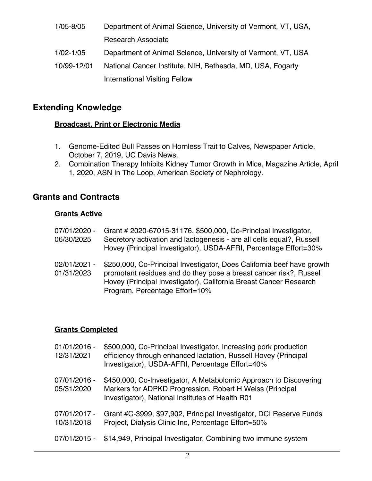1/05-8/05 Department of Animal Science, University of Vermont, VT, USA, Research Associate 1/02-1/05 Department of Animal Science, University of Vermont, VT, USA 10/99-12/01 National Cancer Institute, NIH, Bethesda, MD, USA, Fogarty International Visiting Fellow

### **Extending Knowledge**

#### **Broadcast, Print or Electronic Media**

- 1. Genome-Edited Bull Passes on Hornless Trait to Calves, Newspaper Article, October 7, 2019, UC Davis News.
- 2. Combination Therapy Inhibits Kidney Tumor Growth in Mice, Magazine Article, April 1, 2020, ASN In The Loop, American Society of Nephrology.

### **Grants and Contracts**

#### **Grants Active**

| 07/01/2020 -<br>06/30/2025 | Grant # 2020-67015-31176, \$500,000, Co-Principal Investigator,<br>Secretory activation and lactogenesis - are all cells equal?, Russell<br>Hovey (Principal Investigator), USDA-AFRI, Percentage Effort=30%                                        |
|----------------------------|-----------------------------------------------------------------------------------------------------------------------------------------------------------------------------------------------------------------------------------------------------|
| 02/01/2021 -<br>01/31/2023 | \$250,000, Co-Principal Investigator, Does California beef have growth<br>promotant residues and do they pose a breast cancer risk?, Russell<br>Hovey (Principal Investigator), California Breast Cancer Research<br>Program, Percentage Effort=10% |

#### **Grants Completed**

| 01/01/2016 -<br>12/31/2021 | \$500,000, Co-Principal Investigator, Increasing pork production<br>efficiency through enhanced lactation, Russell Hovey (Principal<br>Investigator), USDA-AFRI, Percentage Effort=40% |
|----------------------------|----------------------------------------------------------------------------------------------------------------------------------------------------------------------------------------|
| 07/01/2016 -<br>05/31/2020 | \$450,000, Co-Investigator, A Metabolomic Approach to Discovering<br>Markers for ADPKD Progression, Robert H Weiss (Principal<br>Investigator), National Institutes of Health R01      |
| 07/01/2017 -<br>10/31/2018 | Grant #C-3999, \$97,902, Principal Investigator, DCI Reserve Funds<br>Project, Dialysis Clinic Inc, Percentage Effort=50%                                                              |
| 07/01/2015 -               | \$14,949, Principal Investigator, Combining two immune system                                                                                                                          |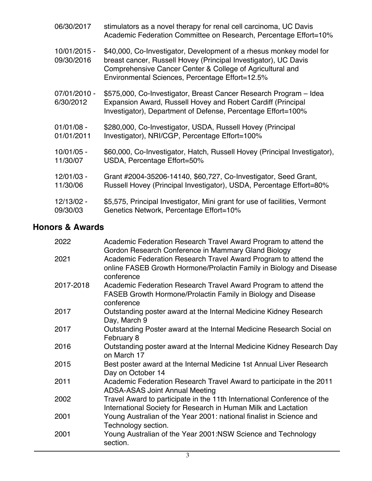| 06/30/2017                 | stimulators as a novel therapy for renal cell carcinoma, UC Davis<br>Academic Federation Committee on Research, Percentage Effort=10%                                                                                                                  |
|----------------------------|--------------------------------------------------------------------------------------------------------------------------------------------------------------------------------------------------------------------------------------------------------|
| 10/01/2015 -<br>09/30/2016 | \$40,000, Co-Investigator, Development of a rhesus monkey model for<br>breast cancer, Russell Hovey (Principal Investigator), UC Davis<br>Comprehensive Cancer Center & College of Agricultural and<br>Environmental Sciences, Percentage Effort=12.5% |
| 07/01/2010 -<br>6/30/2012  | \$575,000, Co-Investigator, Breast Cancer Research Program - Idea<br>Expansion Award, Russell Hovey and Robert Cardiff (Principal<br>Investigator), Department of Defense, Percentage Effort=100%                                                      |
| $01/01/08 -$               | \$280,000, Co-Investigator, USDA, Russell Hovey (Principal                                                                                                                                                                                             |
| 01/01/2011                 | Investigator), NRI/CGP, Percentage Effort=100%                                                                                                                                                                                                         |
| 10/01/05 -                 | \$60,000, Co-Investigator, Hatch, Russell Hovey (Principal Investigator),                                                                                                                                                                              |
| 11/30/07                   | USDA, Percentage Effort=50%                                                                                                                                                                                                                            |
| 12/01/03 -                 | Grant #2004-35206-14140, \$60,727, Co-Investigator, Seed Grant,                                                                                                                                                                                        |
| 11/30/06                   | Russell Hovey (Principal Investigator), USDA, Percentage Effort=80%                                                                                                                                                                                    |
| 12/13/02 -                 | \$5,575, Principal Investigator, Mini grant for use of facilities, Vermont                                                                                                                                                                             |
| 09/30/03                   | Genetics Network, Percentage Effort=10%                                                                                                                                                                                                                |

# **Honors & Awards**

| 2022      | Academic Federation Research Travel Award Program to attend the<br>Gordon Research Conference in Mammary Gland Biology                               |
|-----------|------------------------------------------------------------------------------------------------------------------------------------------------------|
| 2021      | Academic Federation Research Travel Award Program to attend the<br>online FASEB Growth Hormone/Prolactin Family in Biology and Disease<br>conference |
| 2017-2018 | Academic Federation Research Travel Award Program to attend the<br>FASEB Growth Hormone/Prolactin Family in Biology and Disease<br>conference        |
| 2017      | Outstanding poster award at the Internal Medicine Kidney Research<br>Day, March 9                                                                    |
| 2017      | Outstanding Poster award at the Internal Medicine Research Social on<br>February 8                                                                   |
| 2016      | Outstanding poster award at the Internal Medicine Kidney Research Day<br>on March 17                                                                 |
| 2015      | Best poster award at the Internal Medicine 1st Annual Liver Research<br>Day on October 14                                                            |
| 2011      | Academic Federation Research Travel Award to participate in the 2011<br><b>ADSA-ASAS Joint Annual Meeting</b>                                        |
| 2002      | Travel Award to participate in the 11th International Conference of the<br>International Society for Research in Human Milk and Lactation            |
| 2001      | Young Australian of the Year 2001: national finalist in Science and<br>Technology section.                                                           |
| 2001      | Young Australian of the Year 2001:NSW Science and Technology<br>section.                                                                             |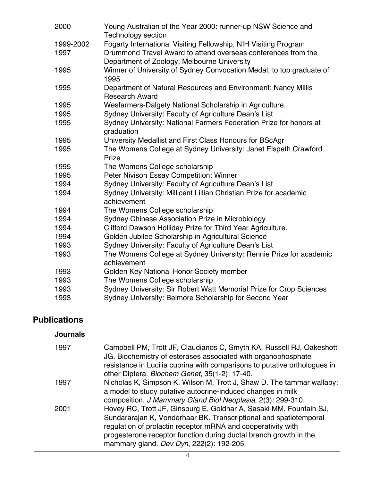| 2000              | Young Australian of the Year 2000: runner-up NSW Science and<br><b>Technology section</b>                                                                                       |
|-------------------|---------------------------------------------------------------------------------------------------------------------------------------------------------------------------------|
| 1999-2002<br>1997 | Fogarty International Visiting Fellowship, NIH Visiting Program<br>Drummond Travel Award to attend overseas conferences from the<br>Department of Zoology, Melbourne University |
| 1995              | Winner of University of Sydney Convocation Medal, to top graduate of<br>1995                                                                                                    |
| 1995              | Department of Natural Resources and Environment: Nancy Millis<br><b>Research Award</b>                                                                                          |
| 1995              | Wesfarmers-Dalgety National Scholarship in Agriculture.                                                                                                                         |
| 1995              | Sydney University: Faculty of Agriculture Dean's List                                                                                                                           |
| 1995              | Sydney University: National Farmers Federation Prize for honors at<br>graduation                                                                                                |
| 1995              | University Medallist and First Class Honours for BScAgr                                                                                                                         |
| 1995              | The Womens College at Sydney University: Janet Elspeth Crawford<br>Prize                                                                                                        |
| 1995              | The Womens College scholarship                                                                                                                                                  |
| 1995              | Peter Nivison Essay Competition: Winner                                                                                                                                         |
| 1994              | Sydney University: Faculty of Agriculture Dean's List                                                                                                                           |
| 1994              | Sydney University: Millicent Lillian Christian Prize for academic                                                                                                               |
|                   | achievement                                                                                                                                                                     |
| 1994              | The Womens College scholarship                                                                                                                                                  |
| 1994              | Sydney Chinese Association Prize in Microbiology                                                                                                                                |
| 1994              | Clifford Dawson Holliday Prize for Third Year Agriculture.                                                                                                                      |
| 1994              | Golden Jubilee Scholarship in Agricultural Science                                                                                                                              |
| 1993              | Sydney University: Faculty of Agriculture Dean's List                                                                                                                           |
| 1993              | The Womens College at Sydney University: Rennie Prize for academic                                                                                                              |
|                   | achievement                                                                                                                                                                     |
| 1993              | Golden Key National Honor Society member                                                                                                                                        |
| 1993              | The Womens College scholarship                                                                                                                                                  |
| 1993              | Sydney University: Sir Robert Watt Memorial Prize for Crop Sciences                                                                                                             |
| 1993              | Sydney University: Belmore Scholarship for Second Year                                                                                                                          |
|                   |                                                                                                                                                                                 |

# **Publications**

### **Journals**

| 1997 | Campbell PM, Trott JF, Claudianos C, Smyth KA, Russell RJ, Oakeshott<br>JG. Biochemistry of esterases associated with organophosphate<br>resistance in Lucilia cuprina with comparisons to putative orthologues in<br>other Diptera. Biochem Genet, 35(1-2): 17-40.                                                      |
|------|--------------------------------------------------------------------------------------------------------------------------------------------------------------------------------------------------------------------------------------------------------------------------------------------------------------------------|
| 1997 | Nicholas K, Simpson K, Wilson M, Trott J, Shaw D. The tammar wallaby:<br>a model to study putative autocrine-induced changes in milk                                                                                                                                                                                     |
|      | composition. J Mammary Gland Biol Neoplasia, 2(3): 299-310.                                                                                                                                                                                                                                                              |
| 2001 | Hovey RC, Trott JF, Ginsburg E, Goldhar A, Sasaki MM, Fountain SJ,<br>Sundararajan K, Vonderhaar BK. Transcriptional and spatiotemporal<br>regulation of prolactin receptor mRNA and cooperativity with<br>progesterone receptor function during ductal branch growth in the<br>mammary gland. Dev Dyn, 222(2): 192-205. |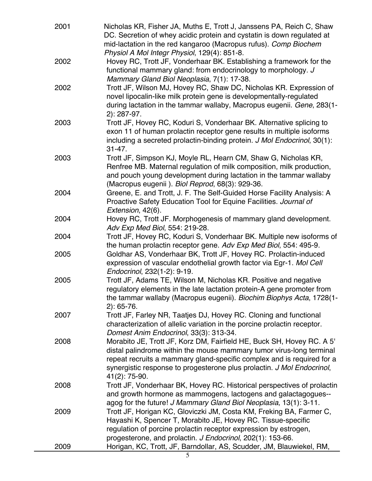| 2001         | Nicholas KR, Fisher JA, Muths E, Trott J, Janssens PA, Reich C, Shaw<br>DC. Secretion of whey acidic protein and cystatin is down regulated at<br>mid-lactation in the red kangaroo (Macropus rufus). Comp Biochem<br>Physiol A Mol Integr Physiol, 129(4): 851-8.                                                 |
|--------------|--------------------------------------------------------------------------------------------------------------------------------------------------------------------------------------------------------------------------------------------------------------------------------------------------------------------|
| 2002         | Hovey RC, Trott JF, Vonderhaar BK. Establishing a framework for the<br>functional mammary gland: from endocrinology to morphology. J<br>Mammary Gland Biol Neoplasia, 7(1): 17-38.                                                                                                                                 |
| 2002         | Trott JF, Wilson MJ, Hovey RC, Shaw DC, Nicholas KR. Expression of<br>novel lipocalin-like milk protein gene is developmentally-regulated<br>during lactation in the tammar wallaby, Macropus eugenii. Gene, 283(1-<br>$2): 287 - 97.$                                                                             |
| 2003         | Trott JF, Hovey RC, Koduri S, Vonderhaar BK. Alternative splicing to<br>exon 11 of human prolactin receptor gene results in multiple isoforms<br>including a secreted prolactin-binding protein. J Mol Endocrinol, 30(1):<br>$31 - 47.$                                                                            |
| 2003         | Trott JF, Simpson KJ, Moyle RL, Hearn CM, Shaw G, Nicholas KR,<br>Renfree MB. Maternal regulation of milk composition, milk production,<br>and pouch young development during lactation in the tammar wallaby<br>(Macropus eugenii). Biol Reprod, 68(3): 929-36.                                                   |
| 2004         | Greene, E. and Trott, J. F. The Self-Guided Horse Facility Analysis: A<br>Proactive Safety Education Tool for Equine Facilities. Journal of<br>Extension, 42(6).                                                                                                                                                   |
| 2004         | Hovey RC, Trott JF. Morphogenesis of mammary gland development.<br>Adv Exp Med Biol, 554: 219-28.                                                                                                                                                                                                                  |
| 2004<br>2005 | Trott JF, Hovey RC, Koduri S, Vonderhaar BK. Multiple new isoforms of<br>the human prolactin receptor gene. Adv Exp Med Biol, 554: 495-9.<br>Goldhar AS, Vonderhaar BK, Trott JF, Hovey RC. Prolactin-induced                                                                                                      |
|              | expression of vascular endothelial growth factor via Egr-1. Mol Cell<br>Endocrinol, 232(1-2): 9-19.                                                                                                                                                                                                                |
| 2005         | Trott JF, Adams TE, Wilson M, Nicholas KR. Positive and negative<br>regulatory elements in the late lactation protein-A gene promoter from<br>the tammar wallaby (Macropus eugenii). Biochim Biophys Acta, 1728(1-<br>$2): 65-76.$                                                                                 |
| 2007         | Trott JF, Farley NR, Taatjes DJ, Hovey RC. Cloning and functional<br>characterization of allelic variation in the porcine prolactin receptor.<br>Domest Anim Endocrinol, 33(3): 313-34.                                                                                                                            |
| 2008         | Morabito JE, Trott JF, Korz DM, Fairfield HE, Buck SH, Hovey RC. A 5'<br>distal palindrome within the mouse mammary tumor virus-long terminal<br>repeat recruits a mammary gland-specific complex and is required for a<br>synergistic response to progesterone plus prolactin. J Mol Endocrinol,<br>41(2): 75-90. |
| 2008         | Trott JF, Vonderhaar BK, Hovey RC. Historical perspectives of prolactin<br>and growth hormone as mammogens, lactogens and galactagogues--<br>agog for the future! J Mammary Gland Biol Neoplasia, 13(1): 3-11.                                                                                                     |
| 2009         | Trott JF, Horigan KC, Gloviczki JM, Costa KM, Freking BA, Farmer C,<br>Hayashi K, Spencer T, Morabito JE, Hovey RC. Tissue-specific<br>regulation of porcine prolactin receptor expression by estrogen,<br>progesterone, and prolactin. J Endocrinol, 202(1): 153-66.                                              |
| 2009         | Horigan, KC, Trott, JF, Barndollar, AS, Scudder, JM, Blauwiekel, RM,                                                                                                                                                                                                                                               |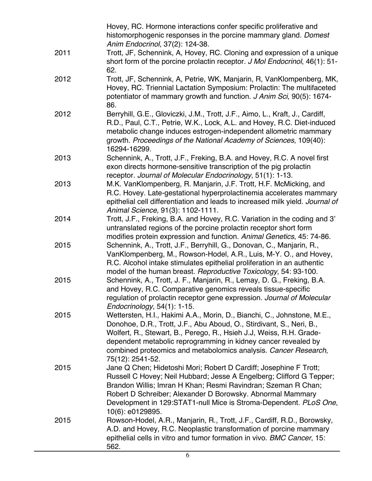|      | Hovey, RC. Hormone interactions confer specific proliferative and                                                               |
|------|---------------------------------------------------------------------------------------------------------------------------------|
|      | histomorphogenic responses in the porcine mammary gland. Domest                                                                 |
|      | Anim Endocrinol, 37(2): 124-38.                                                                                                 |
| 2011 | Trott, JF, Schennink, A, Hovey, RC. Cloning and expression of a unique                                                          |
|      | short form of the porcine prolactin receptor. J Mol Endocrinol, 46(1): 51-                                                      |
|      | 62.                                                                                                                             |
| 2012 | Trott, JF, Schennink, A, Petrie, WK, Manjarin, R, VanKlompenberg, MK,                                                           |
|      | Hovey, RC. Triennial Lactation Symposium: Prolactin: The multifaceted                                                           |
|      | potentiator of mammary growth and function. J Anim Sci, 90(5): 1674-                                                            |
|      | 86.                                                                                                                             |
| 2012 | Berryhill, G.E., Gloviczki, J.M., Trott, J.F., Aimo, L., Kraft, J., Cardiff,                                                    |
|      | R.D., Paul, C.T., Petrie, W.K., Lock, A.L. and Hovey, R.C. Diet-induced                                                         |
|      | metabolic change induces estrogen-independent allometric mammary                                                                |
|      | growth. Proceedings of the National Academy of Sciences, 109(40):                                                               |
|      | 16294-16299.                                                                                                                    |
| 2013 | Schennink, A., Trott, J.F., Freking, B.A. and Hovey, R.C. A novel first                                                         |
|      | exon directs hormone-sensitive transcription of the pig prolactin                                                               |
| 2013 | receptor. Journal of Molecular Endocrinology, 51(1): 1-13.<br>M.K. VanKlompenberg, R. Manjarin, J.F. Trott, H.F. McMicking, and |
|      | R.C. Hovey. Late-gestational hyperprolactinemia accelerates mammary                                                             |
|      | epithelial cell differentiation and leads to increased milk yield. Journal of                                                   |
|      | Animal Science, 91(3): 1102-1111.                                                                                               |
| 2014 | Trott, J.F., Freking, B.A. and Hovey, R.C. Variation in the coding and 3'                                                       |
|      | untranslated regions of the porcine prolactin receptor short form                                                               |
|      | modifies protein expression and function. Animal Genetics, 45: 74-86.                                                           |
| 2015 | Schennink, A., Trott, J.F., Berryhill, G., Donovan, C., Manjarin, R.,                                                           |
|      | VanKlompenberg, M., Rowson-Hodel, A.R., Luis, M-Y. O., and Hovey,                                                               |
|      | R.C. Alcohol intake stimulates epithelial proliferation in an authentic                                                         |
|      | model of the human breast. Reproductive Toxicology, 54: 93-100.                                                                 |
| 2015 | Schennink, A., Trott, J. F., Manjarin, R., Lemay, D. G., Freking, B.A.                                                          |
|      | and Hovey, R.C. Comparative genomics reveals tissue-specific                                                                    |
|      | regulation of prolactin receptor gene expression. Journal of Molecular                                                          |
| 2015 | Endocrinology, 54(1): 1-15.<br>Wettersten, H.I., Hakimi A.A., Morin, D., Bianchi, C., Johnstone, M.E.,                          |
|      | Donohoe, D.R., Trott, J.F., Abu Aboud, O., Stirdivant, S., Neri, B.,                                                            |
|      | Wolfert, R., Stewart, B., Perego, R., Hsieh J.J, Weiss, R.H. Grade-                                                             |
|      | dependent metabolic reprogramming in kidney cancer revealed by                                                                  |
|      | combined proteomics and metabolomics analysis. Cancer Research,                                                                 |
|      | 75(12): 2541-52.                                                                                                                |
| 2015 | Jane Q Chen; Hidetoshi Mori; Robert D Cardiff; Josephine F Trott;                                                               |
|      | Russell C Hovey; Neil Hubbard; Jesse A Engelberg; Clifford G Tepper;                                                            |
|      | Brandon Willis; Imran H Khan; Resmi Ravindran; Szeman R Chan;                                                                   |
|      | Robert D Schreiber; Alexander D Borowsky. Abnormal Mammary                                                                      |
|      | Development in 129:STAT1-null Mice is Stroma-Dependent. PLoS One,                                                               |
|      | 10(6): e0129895.                                                                                                                |
| 2015 | Rowson-Hodel, A.R., Manjarin, R., Trott, J.F., Cardiff, R.D., Borowsky,                                                         |
|      | A.D. and Hovey, R.C. Neoplastic transformation of porcine mammary                                                               |
|      | epithelial cells in vitro and tumor formation in vivo. BMC Cancer, 15:                                                          |
|      | 562.                                                                                                                            |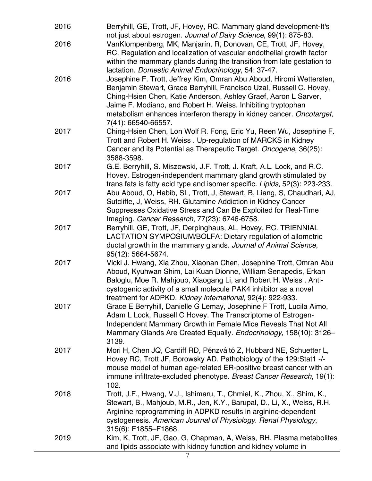| 2016 | Berryhill, GE, Trott, JF, Hovey, RC. Mammary gland development-It's<br>not just about estrogen. Journal of Dairy Science, 99(1): 875-83.                                                                                                                                                                                                                                       |
|------|--------------------------------------------------------------------------------------------------------------------------------------------------------------------------------------------------------------------------------------------------------------------------------------------------------------------------------------------------------------------------------|
| 2016 | VanKlompenberg, MK, Manjarín, R, Donovan, CE, Trott, JF, Hovey,<br>RC. Regulation and localization of vascular endothelial growth factor<br>within the mammary glands during the transition from late gestation to<br>lactation. Domestic Animal Endocrinology, 54: 37-47.                                                                                                     |
| 2016 | Josephine F. Trott, Jeffrey Kim, Omran Abu Aboud, Hiromi Wettersten,<br>Benjamin Stewart, Grace Berryhill, Francisco Uzal, Russell C. Hovey,<br>Ching-Hsien Chen, Katie Anderson, Ashley Graef, Aaron L Sarver,<br>Jaime F. Modiano, and Robert H. Weiss. Inhibiting tryptophan<br>metabolism enhances interferon therapy in kidney cancer. Oncotarget,<br>7(41): 66540-66557. |
| 2017 | Ching-Hsien Chen, Lon Wolf R. Fong, Eric Yu, Reen Wu, Josephine F.<br>Trott and Robert H. Weiss. Up-regulation of MARCKS in Kidney<br>Cancer and its Potential as Therapeutic Target. Oncogene, 36(25):<br>3588-3598.                                                                                                                                                          |
| 2017 | G.E. Berryhill, S. Miszewski, J.F. Trott, J. Kraft, A.L. Lock, and R.C.<br>Hovey. Estrogen-independent mammary gland growth stimulated by<br>trans fats is fatty acid type and isomer specific. Lipids, 52(3): 223-233.                                                                                                                                                        |
| 2017 | Abu Aboud, O, Habib, SL, Trott, J, Stewart, B, Liang, S, Chaudhari, AJ,<br>Sutcliffe, J, Weiss, RH. Glutamine Addiction in Kidney Cancer<br>Suppresses Oxidative Stress and Can Be Exploited for Real-Time<br>Imaging. Cancer Research, 77(23): 6746-6758.                                                                                                                     |
| 2017 | Berryhill, GE, Trott, JF, Derpinghaus, AL, Hovey, RC. TRIENNIAL<br>LACTATION SYMPOSIUM/BOLFA: Dietary regulation of allometric<br>ductal growth in the mammary glands. Journal of Animal Science,<br>95(12): 5664-5674.                                                                                                                                                        |
| 2017 | Vicki J. Hwang, Xia Zhou, Xiaonan Chen, Josephine Trott, Omran Abu<br>Aboud, Kyuhwan Shim, Lai Kuan Dionne, William Senapedis, Erkan<br>Baloglu, Moe R. Mahjoub, Xiaogang Li, and Robert H. Weiss. Anti-<br>cystogenic activity of a small molecule PAK4 inhibitor as a novel<br>treatment for ADPKD. Kidney International, 92(4): 922-933.                                    |
| 2017 | Grace E Berryhill, Danielle G Lemay, Josephine F Trott, Lucila Aimo,<br>Adam L Lock, Russell C Hovey. The Transcriptome of Estrogen-<br>Independent Mammary Growth in Female Mice Reveals That Not All<br>Mammary Glands Are Created Equally. Endocrinology, 158(10): 3126-<br>3139.                                                                                           |
| 2017 | Mori H, Chen JQ, Cardiff RD, Pénzváltó Z, Hubbard NE, Schuetter L,<br>Hovey RC, Trott JF, Borowsky AD. Pathobiology of the 129: Stat1 -/-<br>mouse model of human age-related ER-positive breast cancer with an<br>immune infiltrate-excluded phenotype. Breast Cancer Research, 19(1):<br>102.                                                                                |
| 2018 | Trott, J.F., Hwang, V.J., Ishimaru, T., Chmiel, K., Zhou, X., Shim, K.,<br>Stewart, B., Mahjoub, M.R., Jen, K.Y., Barupal, D., Li, X., Weiss, R.H.<br>Arginine reprogramming in ADPKD results in arginine-dependent<br>cystogenesis. American Journal of Physiology. Renal Physiology,<br>315(6): F1855-F1868.                                                                 |
| 2019 | Kim, K, Trott, JF, Gao, G, Chapman, A, Weiss, RH. Plasma metabolites<br>and lipids associate with kidney function and kidney volume in                                                                                                                                                                                                                                         |

7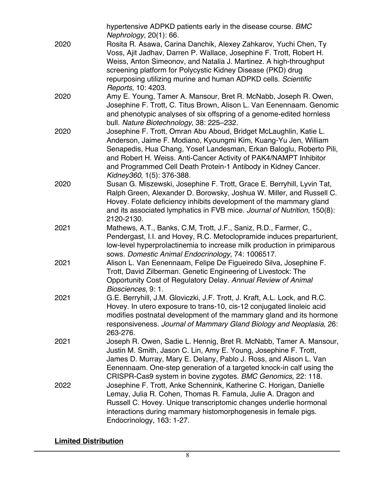|      | hypertensive ADPKD patients early in the disease course. BMC<br>Nephrology, 20(1): 66.                                                                                                                                                                                                                                                                                          |
|------|---------------------------------------------------------------------------------------------------------------------------------------------------------------------------------------------------------------------------------------------------------------------------------------------------------------------------------------------------------------------------------|
| 2020 | Rosita R. Asawa, Carina Danchik, Alexey Zahkarov, Yuchi Chen, Ty<br>Voss, Ajit Jadhav, Darren P. Wallace, Josephine F. Trott, Robert H.<br>Weiss, Anton Simeonov, and Natalia J. Martinez. A high-throughput<br>screening platform for Polycystic Kidney Disease (PKD) drug<br>repurposing utilizing murine and human ADPKD cells. Scientific<br>Reports, 10: 4203.             |
| 2020 | Amy E. Young, Tamer A. Mansour, Bret R. McNabb, Joseph R. Owen,<br>Josephine F. Trott, C. Titus Brown, Alison L. Van Eenennaam. Genomic<br>and phenotypic analyses of six offspring of a genome-edited hornless<br>bull. Nature Biotechnology, 38: 225-232.                                                                                                                     |
| 2020 | Josephine F. Trott, Omran Abu Aboud, Bridget McLaughlin, Katie L.<br>Anderson, Jaime F. Modiano, Kyoungmi Kim, Kuang-Yu Jen, William<br>Senapedis, Hua Chang, Yosef Landesman, Erkan Baloglu, Roberto Pili,<br>and Robert H. Weiss. Anti-Cancer Activity of PAK4/NAMPT Inhibitor<br>and Programmed Cell Death Protein-1 Antibody in Kidney Cancer.<br>Kidney360, 1(5): 376-388. |
| 2020 | Susan G. Miszewski, Josephine F. Trott, Grace E. Berryhill, Lyvin Tat,<br>Ralph Green, Alexander D. Borowsky, Joshua W. Miller, and Russell C.<br>Hovey. Folate deficiency inhibits development of the mammary gland<br>and its associated lymphatics in FVB mice. Journal of Nutrition, 150(8):<br>2120-2130.                                                                  |
| 2021 | Mathews, A.T., Banks, C.M, Trott, J.F., Saniz, R.D., Farmer, C.,<br>Pendergast, I.I. and Hovey, R.C. Metoclopramide induces preparturient,<br>low-level hyperprolactinemia to increase milk production in primiparous<br>sows. Domestic Animal Endocrinology, 74: 1006517.                                                                                                      |
| 2021 | Alison L. Van Eenennaam, Felipe De Figueiredo Silva, Josephine F.<br>Trott, David Zilberman. Genetic Engineering of Livestock: The<br>Opportunity Cost of Regulatory Delay. Annual Review of Animal<br>Biosciences, 9: 1.                                                                                                                                                       |
| 2021 | G.E. Berryhill, J.M. Gloviczki, J.F. Trott, J. Kraft, A.L. Lock, and R.C.<br>Hovey. In utero exposure to trans-10, cis-12 conjugated linoleic acid<br>modifies postnatal development of the mammary gland and its hormone<br>responsiveness. Journal of Mammary Gland Biology and Neoplasia, 26:<br>263-276.                                                                    |
| 2021 | Joseph R. Owen, Sadie L. Hennig, Bret R. McNabb, Tamer A. Mansour,<br>Justin M. Smith, Jason C. Lin, Amy E. Young, Josephine F. Trott,<br>James D. Murray, Mary E. Delany, Pablo J. Ross, and Alison L. Van<br>Eenennaam. One-step generation of a targeted knock-in calf using the<br>CRISPR-Cas9 system in bovine zygotes. BMC Genomics, 22: 118.                             |
| 2022 | Josephine F. Trott, Anke Schennink, Katherine C. Horigan, Danielle<br>Lemay, Julia R. Cohen, Thomas R. Famula, Julie A. Dragon and<br>Russell C. Hovey. Unique transcriptomic changes underlie hormonal<br>interactions during mammary histomorphogenesis in female pigs.<br>Endocrinology, 163: 1-27.                                                                          |

**Limited Distribution**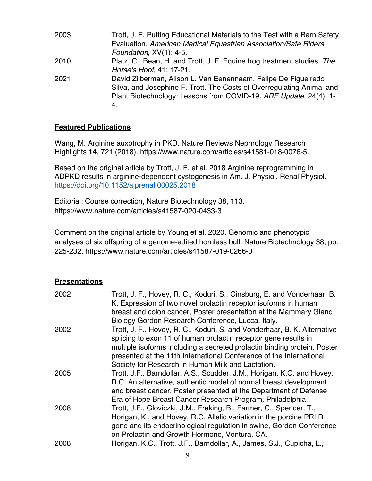| 2003 | Trott, J. F. Putting Educational Materials to the Test with a Barn Safety |
|------|---------------------------------------------------------------------------|
|      | Evaluation. American Medical Equestrian Association/Safe Riders           |
|      | Foundation, XV(1): 4-5.                                                   |
| 2010 | Platz, C., Bean, H. and Trott, J. F. Equine frog treatment studies. The   |
|      | Horse's Hoof, 41: 17-21.                                                  |
| 2021 | David Zilberman, Alison L. Van Eenennaam, Felipe De Figueiredo            |
|      | Silva, and Josephine F. Trott. The Costs of Overregulating Animal and     |
|      | Plant Biotechnology: Lessons from COVID-19. ARE Update, 24(4): 1-         |
|      | 4.                                                                        |
|      |                                                                           |

#### **Featured Publications**

Wang, M. Arginine auxotrophy in PKD. Nature Reviews Nephrology Research Highlights **14**, 721 (2018). https://www.nature.com/articles/s41581-018-0076-5.

Based on the original article by Trott, J. F. et al. 2018 Arginine reprogramming in ADPKD results in arginine-dependent cystogenesis in Am. J. Physiol. Renal Physiol. https://doi.org/10.1152/ajprenal.00025.2018

Editorial: Course correction, Nature Biotechnology 38, 113. https://www.nature.com/articles/s41587-020-0433-3

Comment on the original article by Young et al. 2020. Genomic and phenotypic analyses of six offspring of a genome-edited hornless bull. Nature Biotechnology 38, pp. 225-232. https://www.nature.com/articles/s41587-019-0266-0

#### **Presentations**

| 2002 | Trott, J. F., Hovey, R. C., Koduri, S., Ginsburg, E. and Vonderhaar, B.<br>K. Expression of two novel prolactin receptor isoforms in human<br>breast and colon cancer, Poster presentation at the Mammary Gland                                                                                                                 |
|------|---------------------------------------------------------------------------------------------------------------------------------------------------------------------------------------------------------------------------------------------------------------------------------------------------------------------------------|
| 2002 | Biology Gordon Research Conference, Lucca, Italy.<br>Trott, J. F., Hovey, R. C., Koduri, S. and Vonderhaar, B. K. Alternative<br>splicing to exon 11 of human prolactin receptor gene results in<br>multiple isoforms including a secreted prolactin binding protein, Poster                                                    |
|      | presented at the 11th International Conference of the International<br>Society for Research in Human Milk and Lactation.                                                                                                                                                                                                        |
| 2005 | Trott, J.F., Barndollar, A.S., Scudder, J.M., Horigan, K.C. and Hovey,<br>R.C. An alternative, authentic model of normal breast development<br>and breast cancer, Poster presented at the Department of Defense                                                                                                                 |
| 2008 | Era of Hope Breast Cancer Research Program, Philadelphia.<br>Trott, J.F., Gloviczki, J.M., Freking, B., Farmer, C., Spencer, T.,<br>Horigan, K., and Hovey, R.C. Allelic variation in the porcine PRLR<br>gene and its endocrinological regulation in swine, Gordon Conference<br>on Prolactin and Growth Hormone, Ventura, CA. |
| 2008 | Horigan, K.C., Trott, J.F., Barndollar, A., James, S.J., Cupicha, L.,                                                                                                                                                                                                                                                           |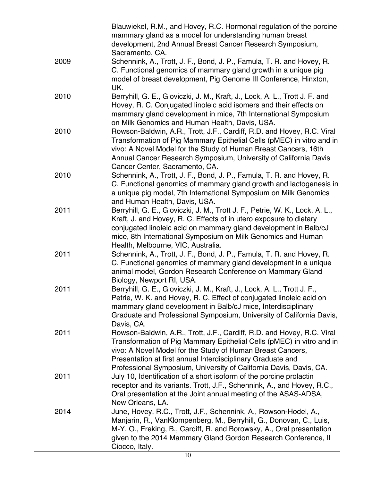|      | Blauwiekel, R.M., and Hovey, R.C. Hormonal regulation of the porcine<br>mammary gland as a model for understanding human breast<br>development, 2nd Annual Breast Cancer Research Symposium,<br>Sacramento, CA.                                                                                                                                    |
|------|----------------------------------------------------------------------------------------------------------------------------------------------------------------------------------------------------------------------------------------------------------------------------------------------------------------------------------------------------|
| 2009 | Schennink, A., Trott, J. F., Bond, J. P., Famula, T. R. and Hovey, R.<br>C. Functional genomics of mammary gland growth in a unique pig<br>model of breast development, Pig Genome III Conference, Hinxton,<br>UK.                                                                                                                                 |
| 2010 | Berryhill, G. E., Gloviczki, J. M., Kraft, J., Lock, A. L., Trott J. F. and<br>Hovey, R. C. Conjugated linoleic acid isomers and their effects on<br>mammary gland development in mice, 7th International Symposium<br>on Milk Genomics and Human Health, Davis, USA.                                                                              |
| 2010 | Rowson-Baldwin, A.R., Trott, J.F., Cardiff, R.D. and Hovey, R.C. Viral<br>Transformation of Pig Mammary Epithelial Cells (pMEC) in vitro and in<br>vivo: A Novel Model for the Study of Human Breast Cancers, 16th<br>Annual Cancer Research Symposium, University of California Davis<br>Cancer Center, Sacramento, CA.                           |
| 2010 | Schennink, A., Trott, J. F., Bond, J. P., Famula, T. R. and Hovey, R.<br>C. Functional genomics of mammary gland growth and lactogenesis in<br>a unique pig model, 7th International Symposium on Milk Genomics<br>and Human Health, Davis, USA.                                                                                                   |
| 2011 | Berryhill, G. E., Gloviczki, J. M., Trott J. F., Petrie, W. K., Lock, A. L.,<br>Kraft, J. and Hovey, R. C. Effects of in utero exposure to dietary<br>conjugated linoleic acid on mammary gland development in Balb/cJ<br>mice, 8th International Symposium on Milk Genomics and Human<br>Health, Melbourne, VIC, Australia.                       |
| 2011 | Schennink, A., Trott, J. F., Bond, J. P., Famula, T. R. and Hovey, R.<br>C. Functional genomics of mammary gland development in a unique<br>animal model, Gordon Research Conference on Mammary Gland<br>Biology, Newport RI, USA.                                                                                                                 |
| 2011 | Berryhill, G. E., Gloviczki, J. M., Kraft, J., Lock, A. L., Trott J. F.,<br>Petrie, W. K. and Hovey, R. C. Effect of conjugated linoleic acid on<br>mammary gland development in Balb/cJ mice, Interdisciplinary<br>Graduate and Professional Symposium, University of California Davis,<br>Davis, CA.                                             |
| 2011 | Rowson-Baldwin, A.R., Trott, J.F., Cardiff, R.D. and Hovey, R.C. Viral<br>Transformation of Pig Mammary Epithelial Cells (pMEC) in vitro and in<br>vivo: A Novel Model for the Study of Human Breast Cancers,<br>Presentation at first annual Interdisciplinary Graduate and<br>Professional Symposium, University of California Davis, Davis, CA. |
| 2011 | July 10, Identification of a short isoform of the porcine prolactin<br>receptor and its variants. Trott, J.F., Schennink, A., and Hovey, R.C.,<br>Oral presentation at the Joint annual meeting of the ASAS-ADSA,<br>New Orleans, LA.                                                                                                              |
| 2014 | June, Hovey, R.C., Trott, J.F., Schennink, A., Rowson-Hodel, A.,<br>Manjarin, R., VanKlompenberg, M., Berryhill, G., Donovan, C., Luis,<br>M-Y. O., Freking, B., Cardiff, R. and Borowsky, A., Oral presentation<br>given to the 2014 Mammary Gland Gordon Research Conference, II<br>Ciocco, Italy.                                               |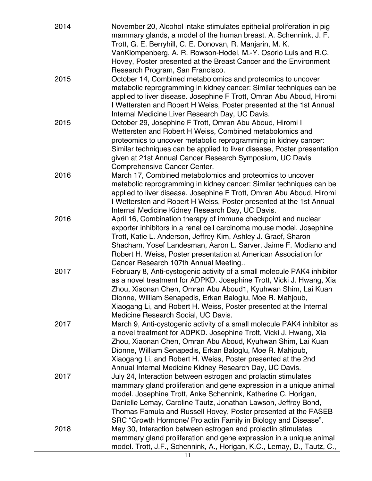| 2014 | November 20, Alcohol intake stimulates epithelial proliferation in pig<br>mammary glands, a model of the human breast. A. Schennink, J. F.<br>Trott, G. E. Berryhill, C. E. Donovan, R. Manjarin, M. K.                                                                                                                                                                                                     |
|------|-------------------------------------------------------------------------------------------------------------------------------------------------------------------------------------------------------------------------------------------------------------------------------------------------------------------------------------------------------------------------------------------------------------|
|      | VanKlompenberg, A. R. Rowson-Hodel, M.-Y. Osorio Luis and R.C.<br>Hovey, Poster presented at the Breast Cancer and the Environment<br>Research Program, San Francisco.                                                                                                                                                                                                                                      |
| 2015 | October 14, Combined metabolomics and proteomics to uncover<br>metabolic reprogramming in kidney cancer: Similar techniques can be<br>applied to liver disease. Josephine F Trott, Omran Abu Aboud, Hiromi<br>I Wettersten and Robert H Weiss, Poster presented at the 1st Annual<br>Internal Medicine Liver Research Day, UC Davis.                                                                        |
| 2015 | October 29, Josephine F Trott, Omran Abu Aboud, Hiromi I<br>Wettersten and Robert H Weiss, Combined metabolomics and<br>proteomics to uncover metabolic reprogramming in kidney cancer:<br>Similar techniques can be applied to liver disease, Poster presentation<br>given at 21st Annual Cancer Research Symposium, UC Davis<br>Comprehensive Cancer Center.                                              |
| 2016 | March 17, Combined metabolomics and proteomics to uncover<br>metabolic reprogramming in kidney cancer: Similar techniques can be<br>applied to liver disease. Josephine F Trott, Omran Abu Aboud, Hiromi<br>I Wettersten and Robert H Weiss, Poster presented at the 1st Annual<br>Internal Medicine Kidney Research Day, UC Davis.                                                                         |
| 2016 | April 16, Combination therapy of immune checkpoint and nuclear<br>exporter inhibitors in a renal cell carcinoma mouse model. Josephine<br>Trott, Katie L. Anderson, Jeffrey Kim, Ashley J. Graef, Sharon<br>Shacham, Yosef Landesman, Aaron L. Sarver, Jaime F. Modiano and<br>Robert H. Weiss, Poster presentation at American Association for<br>Cancer Research 107th Annual Meeting                     |
| 2017 | February 8, Anti-cystogenic activity of a small molecule PAK4 inhibitor<br>as a novel treatment for ADPKD. Josephine Trott, Vicki J. Hwang, Xia<br>Zhou, Xiaonan Chen, Omran Abu Aboud1, Kyuhwan Shim, Lai Kuan<br>Dionne, William Senapedis, Erkan Baloglu, Moe R. Mahjoub,<br>Xiaogang Li, and Robert H. Weiss, Poster presented at the Internal<br>Medicine Research Social, UC Davis.                   |
| 2017 | March 9, Anti-cystogenic activity of a small molecule PAK4 inhibitor as<br>a novel treatment for ADPKD. Josephine Trott, Vicki J. Hwang, Xia<br>Zhou, Xiaonan Chen, Omran Abu Aboud, Kyuhwan Shim, Lai Kuan<br>Dionne, William Senapedis, Erkan Baloglu, Moe R. Mahjoub,<br>Xiaogang Li, and Robert H. Weiss, Poster presented at the 2nd<br>Annual Internal Medicine Kidney Research Day, UC Davis.        |
| 2017 | July 24, Interaction between estrogen and prolactin stimulates<br>mammary gland proliferation and gene expression in a unique animal<br>model. Josephine Trott, Anke Schennink, Katherine C. Horigan,<br>Danielle Lemay, Caroline Tautz, Jonathan Lawson, Jeffrey Bond,<br>Thomas Famula and Russell Hovey, Poster presented at the FASEB<br>SRC "Growth Hormone/ Prolactin Family in Biology and Disease". |
| 2018 | May 30, Interaction between estrogen and prolactin stimulates<br>mammary gland proliferation and gene expression in a unique animal<br>model. Trott, J.F., Schennink, A., Horigan, K.C., Lemay, D., Tautz, C.,                                                                                                                                                                                              |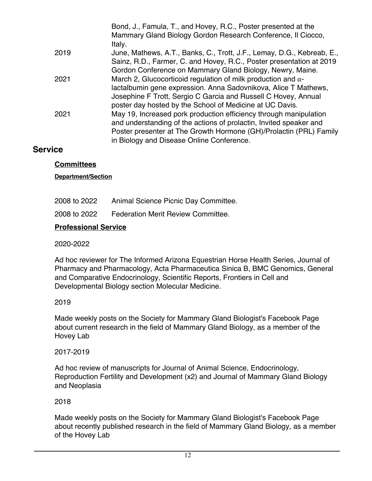|      | Bond, J., Famula, T., and Hovey, R.C., Poster presented at the<br>Mammary Gland Biology Gordon Research Conference, Il Ciocco,<br>Italy. |
|------|------------------------------------------------------------------------------------------------------------------------------------------|
| 2019 | June, Mathews, A.T., Banks, C., Trott, J.F., Lemay, D.G., Kebreab, E.,                                                                   |
|      | Sainz, R.D., Farmer, C. and Hovey, R.C., Poster presentation at 2019<br>Gordon Conference on Mammary Gland Biology, Newry, Maine.        |
| 2021 | March 2, Glucocorticoid regulation of milk production and $\alpha$ -                                                                     |
|      | lactalbumin gene expression. Anna Sadovnikova, Alice T Mathews,                                                                          |
|      | Josephine F Trott, Sergio C Garcia and Russell C Hovey, Annual                                                                           |
|      | poster day hosted by the School of Medicine at UC Davis.                                                                                 |
| 2021 | May 19, Increased pork production efficiency through manipulation                                                                        |
|      | and understanding of the actions of prolactin, Invited speaker and                                                                       |
|      | Poster presenter at The Growth Hormone (GH)/Prolactin (PRL) Family                                                                       |
|      | in Biology and Disease Online Conference.                                                                                                |

#### **Service**

#### **Committees**

**Department/Section**

| 2008 to 2022 | Animal Science Picnic Day Committee. |
|--------------|--------------------------------------|
|--------------|--------------------------------------|

2008 to 2022 Federation Merit Review Committee.

#### **Professional Service**

2020-2022

Ad hoc reviewer for The Informed Arizona Equestrian Horse Health Series, Journal of Pharmacy and Pharmacology, Acta Pharmaceutica Sinica B, BMC Genomics, General and Comparative Endocrinology, Scientific Reports, Frontiers in Cell and Developmental Biology section Molecular Medicine.

#### 2019

Made weekly posts on the Society for Mammary Gland Biologist's Facebook Page about current research in the field of Mammary Gland Biology, as a member of the Hovey Lab

#### 2017-2019

Ad hoc review of manuscripts for Journal of Animal Science, Endocrinology, Reproduction Fertility and Development (x2) and Journal of Mammary Gland Biology and Neoplasia

#### 2018

Made weekly posts on the Society for Mammary Gland Biologist's Facebook Page about recently published research in the field of Mammary Gland Biology, as a member of the Hovey Lab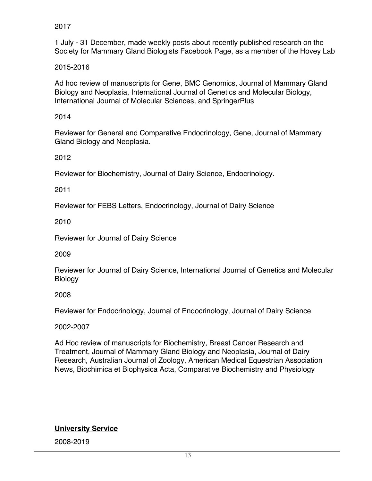2017

1 July - 31 December, made weekly posts about recently published research on the Society for Mammary Gland Biologists Facebook Page, as a member of the Hovey Lab

#### 2015-2016

Ad hoc review of manuscripts for Gene, BMC Genomics, Journal of Mammary Gland Biology and Neoplasia, International Journal of Genetics and Molecular Biology, International Journal of Molecular Sciences, and SpringerPlus

2014

Reviewer for General and Comparative Endocrinology, Gene, Journal of Mammary Gland Biology and Neoplasia.

2012

Reviewer for Biochemistry, Journal of Dairy Science, Endocrinology.

2011

Reviewer for FEBS Letters, Endocrinology, Journal of Dairy Science

2010

Reviewer for Journal of Dairy Science

2009

Reviewer for Journal of Dairy Science, International Journal of Genetics and Molecular Biology

2008

Reviewer for Endocrinology, Journal of Endocrinology, Journal of Dairy Science

2002-2007

Ad Hoc review of manuscripts for Biochemistry, Breast Cancer Research and Treatment, Journal of Mammary Gland Biology and Neoplasia, Journal of Dairy Research, Australian Journal of Zoology, American Medical Equestrian Association News, Biochimica et Biophysica Acta, Comparative Biochemistry and Physiology

**University Service**

2008-2019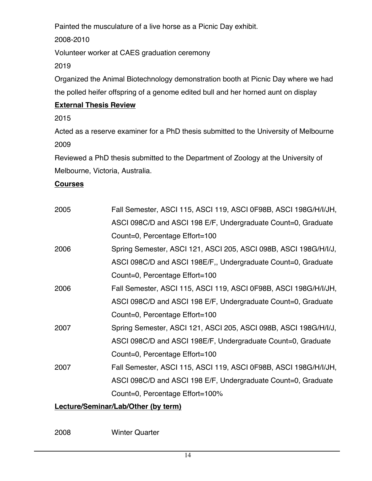Painted the musculature of a live horse as a Picnic Day exhibit.

2008-2010

Volunteer worker at CAES graduation ceremony

2019

Organized the Animal Biotechnology demonstration booth at Picnic Day where we had the polled heifer offspring of a genome edited bull and her horned aunt on display

## **External Thesis Review**

2015

Acted as a reserve examiner for a PhD thesis submitted to the University of Melbourne 2009

Reviewed a PhD thesis submitted to the Department of Zoology at the University of Melbourne, Victoria, Australia.

#### **Courses**

| 2005 | Fall Semester, ASCI 115, ASCI 119, ASCI 0F98B, ASCI 198G/H/I/JH, |
|------|------------------------------------------------------------------|
|      | ASCI 098C/D and ASCI 198 E/F, Undergraduate Count=0, Graduate    |
|      | Count=0, Percentage Effort=100                                   |
| 2006 | Spring Semester, ASCI 121, ASCI 205, ASCI 098B, ASCI 198G/H/I/J, |
|      | ASCI 098C/D and ASCI 198E/F,, Undergraduate Count=0, Graduate    |
|      | Count=0, Percentage Effort=100                                   |
| 2006 | Fall Semester, ASCI 115, ASCI 119, ASCI 0F98B, ASCI 198G/H/I/JH, |
|      | ASCI 098C/D and ASCI 198 E/F, Undergraduate Count=0, Graduate    |
|      | Count=0, Percentage Effort=100                                   |
| 2007 | Spring Semester, ASCI 121, ASCI 205, ASCI 098B, ASCI 198G/H/I/J, |
|      | ASCI 098C/D and ASCI 198E/F, Undergraduate Count=0, Graduate     |
|      | Count=0, Percentage Effort=100                                   |
| 2007 | Fall Semester, ASCI 115, ASCI 119, ASCI 0F98B, ASCI 198G/H/I/JH, |
|      | ASCI 098C/D and ASCI 198 E/F, Undergraduate Count=0, Graduate    |
|      | Count=0, Percentage Effort=100%                                  |
|      |                                                                  |

### **Lecture/Seminar/Lab/Other (by term)**

2008 Winter Quarter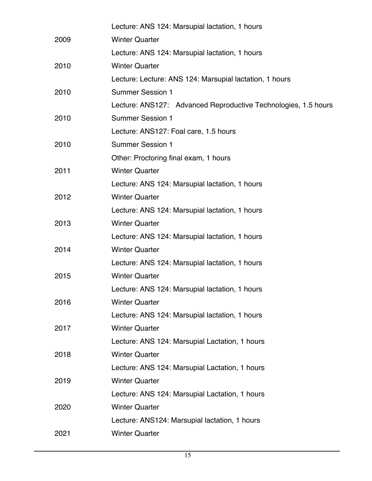|      | Lecture: ANS 124: Marsupial lactation, 1 hours                 |
|------|----------------------------------------------------------------|
| 2009 | <b>Winter Quarter</b>                                          |
|      | Lecture: ANS 124: Marsupial lactation, 1 hours                 |
| 2010 | <b>Winter Quarter</b>                                          |
|      | Lecture: Lecture: ANS 124: Marsupial lactation, 1 hours        |
| 2010 | <b>Summer Session 1</b>                                        |
|      | Lecture: ANS127: Advanced Reproductive Technologies, 1.5 hours |
| 2010 | <b>Summer Session 1</b>                                        |
|      | Lecture: ANS127: Foal care, 1.5 hours                          |
| 2010 | <b>Summer Session 1</b>                                        |
|      | Other: Proctoring final exam, 1 hours                          |
| 2011 | <b>Winter Quarter</b>                                          |
|      | Lecture: ANS 124: Marsupial lactation, 1 hours                 |
| 2012 | <b>Winter Quarter</b>                                          |
|      | Lecture: ANS 124: Marsupial lactation, 1 hours                 |
| 2013 | <b>Winter Quarter</b>                                          |
|      | Lecture: ANS 124: Marsupial lactation, 1 hours                 |
| 2014 | <b>Winter Quarter</b>                                          |
|      | Lecture: ANS 124: Marsupial lactation, 1 hours                 |
| 2015 | <b>Winter Quarter</b>                                          |
|      | Lecture: ANS 124: Marsupial lactation, 1 hours                 |
| 2016 | <b>Winter Quarter</b>                                          |
|      | Lecture: ANS 124: Marsupial lactation, 1 hours                 |
| 2017 | <b>Winter Quarter</b>                                          |
|      | Lecture: ANS 124: Marsupial Lactation, 1 hours                 |
| 2018 | <b>Winter Quarter</b>                                          |
|      | Lecture: ANS 124: Marsupial Lactation, 1 hours                 |
| 2019 | <b>Winter Quarter</b>                                          |
|      | Lecture: ANS 124: Marsupial Lactation, 1 hours                 |
| 2020 | <b>Winter Quarter</b>                                          |
|      | Lecture: ANS124: Marsupial lactation, 1 hours                  |
| 2021 | <b>Winter Quarter</b>                                          |